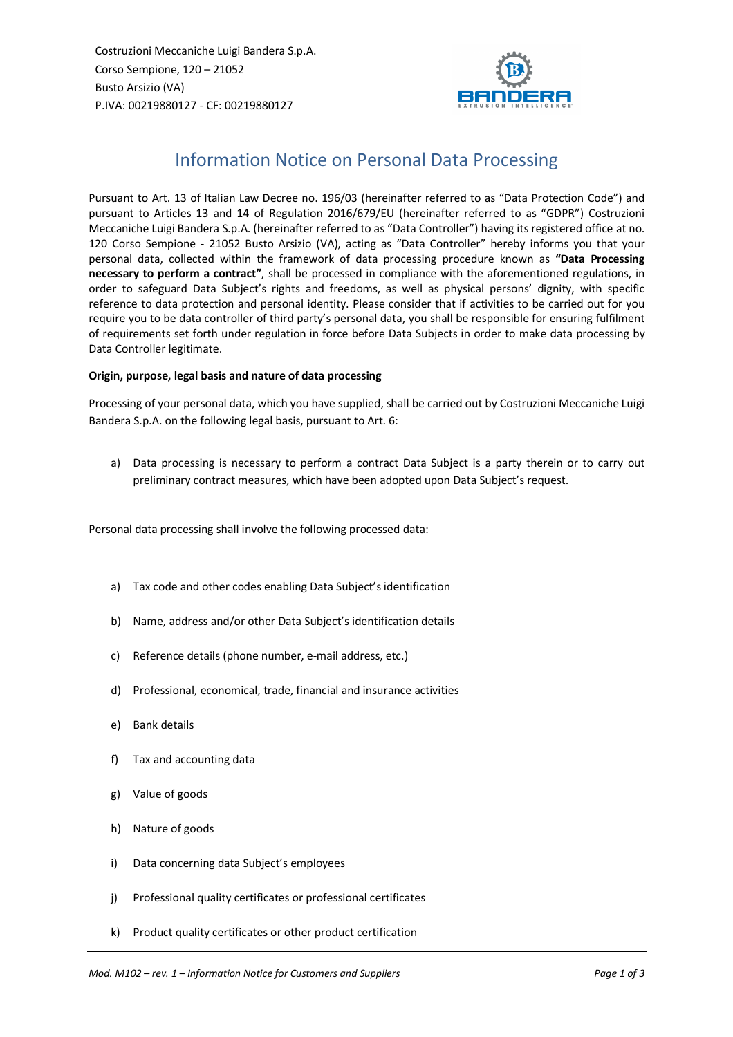Costruzioni Meccaniche Luigi Bandera S.p.A. Corso Sempione, 120 – 21052 Busto Arsizio (VA) P.IVA: 00219880127 - CF: 00219880127



# Information Notice on Personal Data Processing

Pursuant to Art. 13 of Italian Law Decree no. 196/03 (hereinafter referred to as "Data Protection Code") and pursuant to Articles 13 and 14 of Regulation 2016/679/EU (hereinafter referred to as "GDPR") Costruzioni Meccaniche Luigi Bandera S.p.A. (hereinafter referred to as "Data Controller") having its registered office at no. 120 Corso Sempione - 21052 Busto Arsizio (VA), acting as "Data Controller" hereby informs you that your personal data, collected within the framework of data processing procedure known as **"Data Processing necessary to perform a contract"**, shall be processed in compliance with the aforementioned regulations, in order to safeguard Data Subject's rights and freedoms, as well as physical persons' dignity, with specific reference to data protection and personal identity. Please consider that if activities to be carried out for you require you to be data controller of third party's personal data, you shall be responsible for ensuring fulfilment of requirements set forth under regulation in force before Data Subjects in order to make data processing by Data Controller legitimate.

# **Origin, purpose, legal basis and nature of data processing**

Processing of your personal data, which you have supplied, shall be carried out by Costruzioni Meccaniche Luigi Bandera S.p.A. on the following legal basis, pursuant to Art. 6:

a) Data processing is necessary to perform a contract Data Subject is a party therein or to carry out preliminary contract measures, which have been adopted upon Data Subject's request.

Personal data processing shall involve the following processed data:

- a) Tax code and other codes enabling Data Subject's identification
- b) Name, address and/or other Data Subject's identification details
- c) Reference details (phone number, e-mail address, etc.)
- d) Professional, economical, trade, financial and insurance activities
- e) Bank details
- f) Tax and accounting data
- g) Value of goods
- h) Nature of goods
- i) Data concerning data Subject's employees
- j) Professional quality certificates or professional certificates
- k) Product quality certificates or other product certification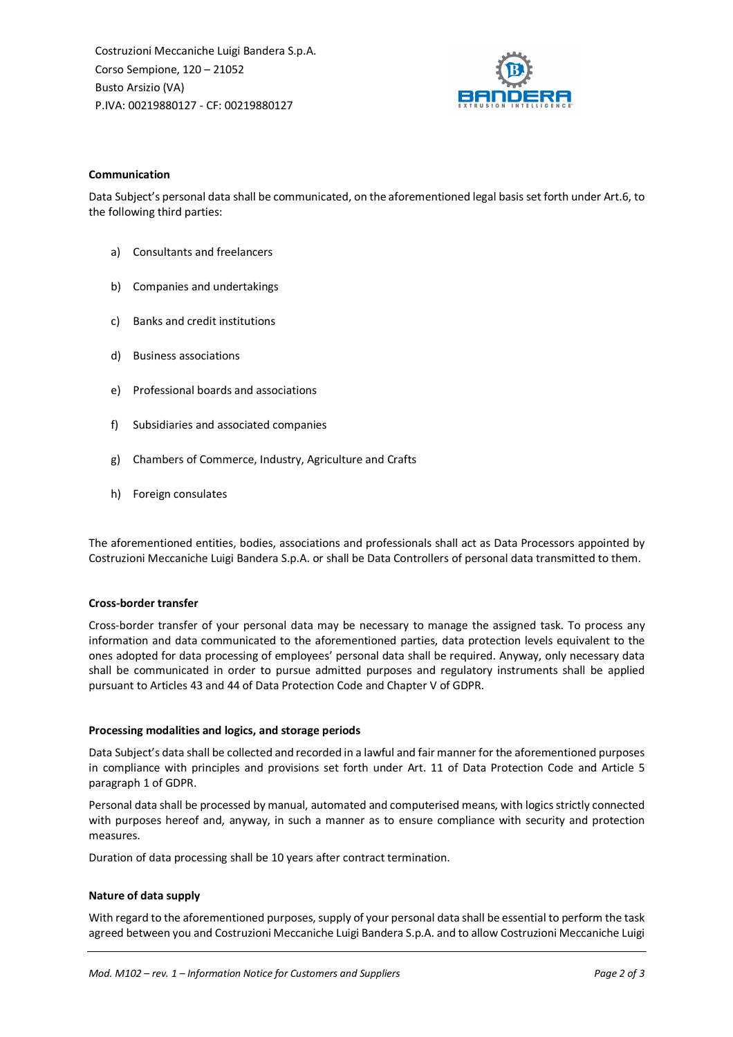Costruzioni Meccaniche Luigi Bandera S.p.A. Corso Sempione, 120 – 21052 Busto Arsizio (VA) P.IVA: 00219880127 - CF: 00219880127



## **Communication**

Data Subject's personal data shall be communicated, on the aforementioned legal basis set forth under Art.6, to the following third parties:

- a) Consultants and freelancers
- b) Companies and undertakings
- c) Banks and credit institutions
- d) Business associations
- e) Professional boards and associations
- f) Subsidiaries and associated companies
- g) Chambers of Commerce, Industry, Agriculture and Crafts
- h) Foreign consulates

The aforementioned entities, bodies, associations and professionals shall act as Data Processors appointed by Costruzioni Meccaniche Luigi Bandera S.p.A. or shall be Data Controllers of personal data transmitted to them.

#### **Cross-border transfer**

Cross-border transfer of your personal data may be necessary to manage the assigned task. To process any information and data communicated to the aforementioned parties, data protection levels equivalent to the ones adopted for data processing of employees' personal data shall be required. Anyway, only necessary data shall be communicated in order to pursue admitted purposes and regulatory instruments shall be applied pursuant to Articles 43 and 44 of Data Protection Code and Chapter V of GDPR.

#### **Processing modalities and logics, and storage periods**

Data Subject's data shall be collected and recorded in a lawful and fair manner for the aforementioned purposes in compliance with principles and provisions set forth under Art. 11 of Data Protection Code and Article 5 paragraph 1 of GDPR.

Personal data shall be processed by manual, automated and computerised means, with logics strictly connected with purposes hereof and, anyway, in such a manner as to ensure compliance with security and protection measures.

Duration of data processing shall be 10 years after contract termination.

## **Nature of data supply**

With regard to the aforementioned purposes, supply of your personal data shall be essential to perform the task agreed between you and Costruzioni Meccaniche Luigi Bandera S.p.A. and to allow Costruzioni Meccaniche Luigi